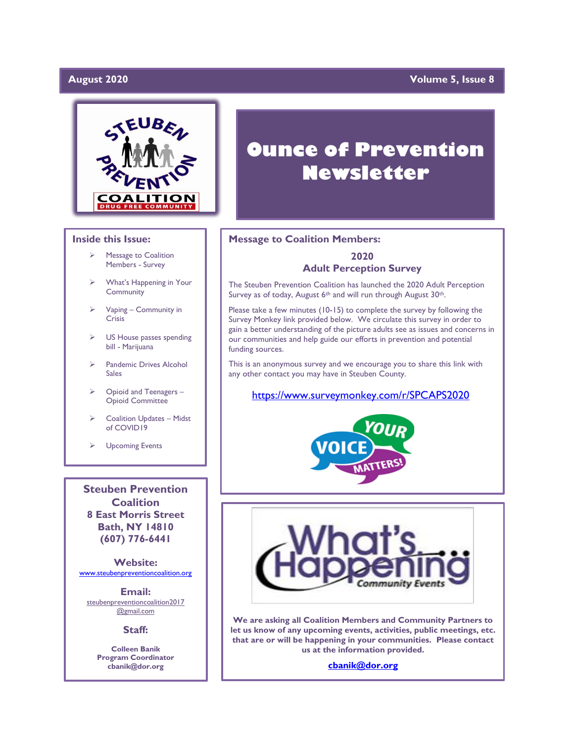### August 2020

### **Yolume 5, Issue 8**



### **Inside this Issue:**

- ➢ Message to Coalition Members - Survey
- ➢ What's Happening in Your **Community**
- ➢ Vaping Community in Crisis
- US House passes spending bill - Marijuana
- Pandemic Drives Alcohol Sales
- ➢ Opioid and Teenagers Opioid Committee
- ➢ Coalition Updates Midst of COVID19
- ➢ Upcoming Events

**Steuben Prevention Coalition 8 East Morris Street Bath, NY 14810 (607) 776-6441**

**Website:**  [www.steubenpreventioncoalition.org](http://www.steubenpreventioncoalition.org/)

**Email:**  steubenpreventioncoalition2017 @gmail.com

**Staff:**

**Colleen Banik Program Coordinator cbanik@dor.org**

# **Ounce of Prevention Newsletter**

### **Message to Coalition Members:**

### **2020 Adult Perception Survey**

The Steuben Prevention Coalition has launched the 2020 Adult Perception Survey as of today, August 6<sup>th</sup> and will run through August 30<sup>th</sup>.

Please take a few minutes (10-15) to complete the survey by following the Survey Monkey link provided below. We circulate this survey in order to gain a better understanding of the picture adults see as issues and concerns in our communities and help guide our efforts in prevention and potential funding sources.

This is an anonymous survey and we encourage you to share this link with any other contact you may have in Steuben County.

### <https://www.surveymonkey.com/r/SPCAPS2020>





**We are asking all Coalition Members and Community Partners to let us know of any upcoming events, activities, public meetings, etc. that are or will be happening in your communities. Please contact us at the information provided.**

**[cbanik@dor.org](mailto:cbanik@dor.org)**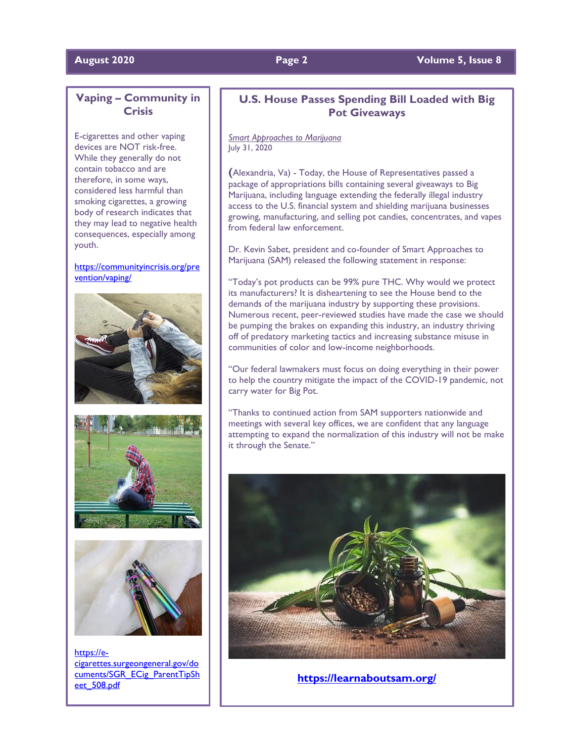### **August 2020 Page 2 Volume 5, Issue 8**

### **Vaping – Community in Crisis**

E-cigarettes and other vaping devices are NOT risk-free. While they generally do not contain tobacco and are therefore, in some ways, considered less harmful than smoking cigarettes, a growing body of research indicates that they may lead to negative health consequences, especially among youth.

### [https://communityincrisis.org/pre](https://communityincrisis.org/prevention/vaping/) [vention/vaping/](https://communityincrisis.org/prevention/vaping/)







[https://e](https://e-cigarettes.surgeongeneral.gov/documents/SGR_ECig_ParentTipSheet_508.pdf)[cigarettes.surgeongeneral.gov/do](https://e-cigarettes.surgeongeneral.gov/documents/SGR_ECig_ParentTipSheet_508.pdf) [cuments/SGR\\_ECig\\_ParentTipSh](https://e-cigarettes.surgeongeneral.gov/documents/SGR_ECig_ParentTipSheet_508.pdf) [eet\\_508.pdf](https://e-cigarettes.surgeongeneral.gov/documents/SGR_ECig_ParentTipSheet_508.pdf)

### **U.S. House Passes Spending Bill Loaded with Big Pot Giveaways**

### *Smart Approaches to Marijuana* July 31, 2020

**(**Alexandria, Va) - Today, the House of Representatives passed a package of appropriations bills containing several giveaways to Big Marijuana, including language extending the federally illegal industry access to the U.S. financial system and shielding marijuana businesses growing, manufacturing, and selling pot candies, concentrates, and vapes from federal law enforcement.

Dr. Kevin Sabet, president and co-founder of Smart Approaches to Marijuana (SAM) released the following statement in response:

"Today's pot products can be 99% pure THC. Why would we protect its manufacturers? It is disheartening to see the House bend to the demands of the marijuana industry by supporting these provisions. Numerous recent, peer-reviewed studies have made the case we should be pumping the brakes on expanding this industry, an industry thriving off of predatory marketing tactics and increasing substance misuse in communities of color and low-income neighborhoods.

"Our federal lawmakers must focus on doing everything in their power to help the country mitigate the impact of the COVID-19 pandemic, not carry water for Big Pot.

"Thanks to continued action from SAM supporters nationwide and meetings with several key offices, we are confident that any language attempting to expand the normalization of this industry will not be make it through the Senate."



**<https://learnaboutsam.org/>**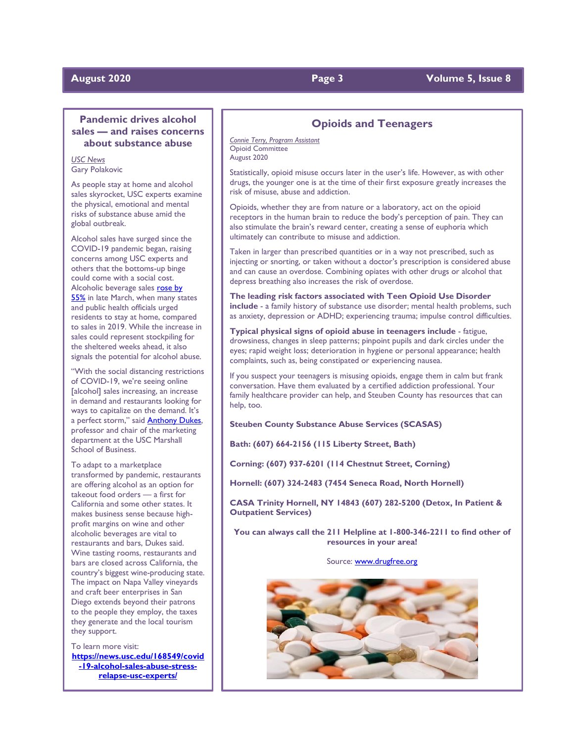### **Pandemic drives alcohol sales — and raises concerns about substance abuse**

*USC News* Gary Polakovic

As people stay at home and alcohol sales skyrocket, USC experts examine the physical, emotional and mental risks of substance abuse amid the global outbreak.

Alcohol sales have surged since the COVID-19 pandemic began, raising concerns among USC experts and others that the bottoms-up binge could come with a social cost. Alcoholic beverage sales rose by [55%](https://www.newsweek.com/us-alcohol-sales-increase-55-percent-one-week-amid-coronavirus-pandemic-1495510) in late March, when many states and public health officials urged residents to stay at home, compared to sales in 2019. While the increase in sales could represent stockpiling for the sheltered weeks ahead, it also signals the potential for alcohol abuse.

"With the social distancing restrictions of COVID-19, we're seeing online [alcohol] sales increasing, an increase in demand and restaurants looking for ways to capitalize on the demand. It's a perfect storm," said [Anthony Dukes,](https://www.marshall.usc.edu/personnel/anthony-dukes)  professor and chair of the marketing department at the USC Marshall School of Business.

To adapt to a marketplace transformed by pandemic, restaurants are offering alcohol as an option for takeout food orders — a first for California and some other states. It makes business sense because highprofit margins on wine and other alcoholic beverages are vital to restaurants and bars, Dukes said. Wine tasting rooms, restaurants and bars are closed across California, the country's biggest wine-producing state. The impact on Napa Valley vineyards and craft beer enterprises in San Diego extends beyond their patrons to the people they employ, the taxes they generate and the local tourism they support.

To learn more visit: **[https://news.usc.edu/168549/covid](https://news.usc.edu/168549/covid-19-alcohol-sales-abuse-stress-relapse-usc-experts/) [-19-alcohol-sales-abuse-stress](https://news.usc.edu/168549/covid-19-alcohol-sales-abuse-stress-relapse-usc-experts/)[relapse-usc-experts/](https://news.usc.edu/168549/covid-19-alcohol-sales-abuse-stress-relapse-usc-experts/)**

### **Opioids and Teenagers**

*Connie Terry, Program Assistant* Opioid Committee August 2020

Statistically, opioid misuse occurs later in the user's life. However, as with other drugs, the younger one is at the time of their first exposure greatly increases the risk of misuse, abuse and addiction.

Opioids, whether they are from nature or a laboratory, act on the opioid receptors in the human brain to reduce the body's perception of pain. They can also stimulate the brain's reward center, creating a sense of euphoria which ultimately can contribute to misuse and addiction.

Taken in larger than prescribed quantities or in a way not prescribed, such as injecting or snorting, or taken without a doctor's prescription is considered abuse and can cause an overdose. Combining opiates with other drugs or alcohol that depress breathing also increases the risk of overdose.

**The leading risk factors associated with Teen Opioid Use Disorder include** - a family history of substance use disorder; mental health problems, such as anxiety, depression or ADHD; experiencing trauma; impulse control difficulties.

**Typical physical signs of opioid abuse in teenagers include** - fatigue, drowsiness, changes in sleep patterns; pinpoint pupils and dark circles under the eyes; rapid weight loss; deterioration in hygiene or personal appearance; health complaints, such as, being constipated or experiencing nausea.

If you suspect your teenagers is misusing opioids, engage them in calm but frank conversation. Have them evaluated by a certified addiction professional. Your family healthcare provider can help, and Steuben County has resources that can help, too.

**Steuben County Substance Abuse Services (SCASAS)**

**Bath: (607) 664-2156 (115 Liberty Street, Bath)**

**Corning: (607) 937-6201 (114 Chestnut Street, Corning)**

**Hornell: (607) 324-2483 (7454 Seneca Road, North Hornell)**

**CASA Trinity Hornell, NY 14843 (607) 282-5200 (Detox, In Patient & Outpatient Services)**

**You can always call the 211 Helpline at 1-800-346-2211 to find other of resources in your area!**

Source[: www.drugfree.org](http://www.drugfree.org/)



### **August 2020 Page 3 Volume 5, Issue 8**